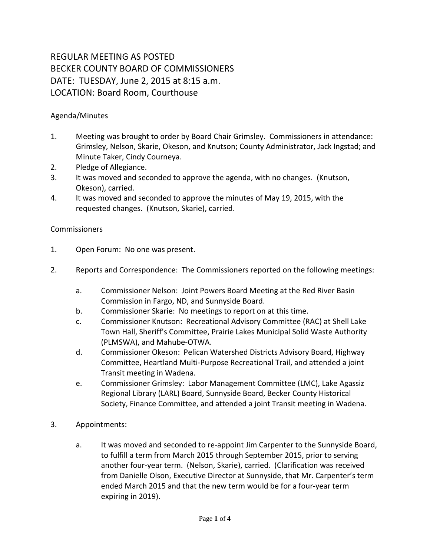## REGULAR MEETING AS POSTED BECKER COUNTY BOARD OF COMMISSIONERS DATE: TUESDAY, June 2, 2015 at 8:15 a.m. LOCATION: Board Room, Courthouse

## Agenda/Minutes

- 1. Meeting was brought to order by Board Chair Grimsley. Commissioners in attendance: Grimsley, Nelson, Skarie, Okeson, and Knutson; County Administrator, Jack Ingstad; and Minute Taker, Cindy Courneya.
- 2. Pledge of Allegiance.
- 3. It was moved and seconded to approve the agenda, with no changes. (Knutson, Okeson), carried.
- 4. It was moved and seconded to approve the minutes of May 19, 2015, with the requested changes. (Knutson, Skarie), carried.

## Commissioners

- 1. Open Forum: No one was present.
- 2. Reports and Correspondence: The Commissioners reported on the following meetings:
	- a. Commissioner Nelson: Joint Powers Board Meeting at the Red River Basin Commission in Fargo, ND, and Sunnyside Board.
	- b. Commissioner Skarie: No meetings to report on at this time.
	- c. Commissioner Knutson: Recreational Advisory Committee (RAC) at Shell Lake Town Hall, Sheriff's Committee, Prairie Lakes Municipal Solid Waste Authority (PLMSWA), and Mahube-OTWA.
	- d. Commissioner Okeson: Pelican Watershed Districts Advisory Board, Highway Committee, Heartland Multi-Purpose Recreational Trail, and attended a joint Transit meeting in Wadena.
	- e. Commissioner Grimsley: Labor Management Committee (LMC), Lake Agassiz Regional Library (LARL) Board, Sunnyside Board, Becker County Historical Society, Finance Committee, and attended a joint Transit meeting in Wadena.
- 3. Appointments:
	- a. It was moved and seconded to re-appoint Jim Carpenter to the Sunnyside Board, to fulfill a term from March 2015 through September 2015, prior to serving another four-year term. (Nelson, Skarie), carried. (Clarification was received from Danielle Olson, Executive Director at Sunnyside, that Mr. Carpenter's term ended March 2015 and that the new term would be for a four-year term expiring in 2019).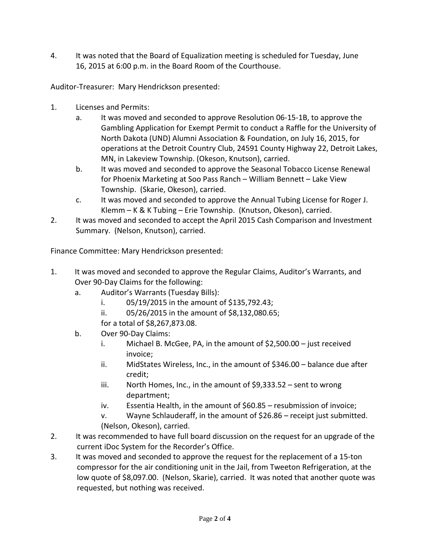4. It was noted that the Board of Equalization meeting is scheduled for Tuesday, June 16, 2015 at 6:00 p.m. in the Board Room of the Courthouse.

Auditor-Treasurer: Mary Hendrickson presented:

- 1. Licenses and Permits:
	- a. It was moved and seconded to approve Resolution 06-15-1B, to approve the Gambling Application for Exempt Permit to conduct a Raffle for the University of North Dakota (UND) Alumni Association & Foundation, on July 16, 2015, for operations at the Detroit Country Club, 24591 County Highway 22, Detroit Lakes, MN, in Lakeview Township. (Okeson, Knutson), carried.
	- b. It was moved and seconded to approve the Seasonal Tobacco License Renewal for Phoenix Marketing at Soo Pass Ranch – William Bennett – Lake View Township. (Skarie, Okeson), carried.
	- c. It was moved and seconded to approve the Annual Tubing License for Roger J. Klemm – K & K Tubing – Erie Township. (Knutson, Okeson), carried.
- 2. It was moved and seconded to accept the April 2015 Cash Comparison and Investment Summary. (Nelson, Knutson), carried.

Finance Committee: Mary Hendrickson presented:

- 1. It was moved and seconded to approve the Regular Claims, Auditor's Warrants, and Over 90-Day Claims for the following:
	- a. Auditor's Warrants (Tuesday Bills):
		- i. 05/19/2015 in the amount of \$135,792.43;
		- ii. 05/26/2015 in the amount of \$8,132,080.65;
		- for a total of \$8,267,873.08.
	- b. Over 90-Day Claims:
		- i. Michael B. McGee, PA, in the amount of \$2,500.00 just received invoice;
		- ii. MidStates Wireless, Inc., in the amount of \$346.00 balance due after credit;
		- iii. North Homes, Inc., in the amount of \$9,333.52 sent to wrong department;
		- iv. Essentia Health, in the amount of \$60.85 resubmission of invoice;
		- v. Wayne Schlauderaff, in the amount of \$26.86 receipt just submitted. (Nelson, Okeson), carried.
- 2. It was recommended to have full board discussion on the request for an upgrade of the current iDoc System for the Recorder's Office.
- 3. It was moved and seconded to approve the request for the replacement of a 15-ton compressor for the air conditioning unit in the Jail, from Tweeton Refrigeration, at the low quote of \$8,097.00. (Nelson, Skarie), carried. It was noted that another quote was requested, but nothing was received.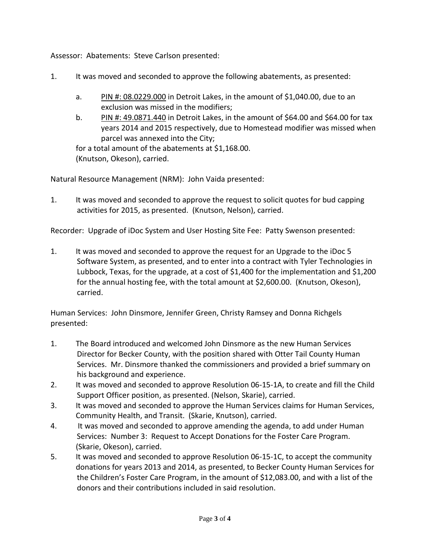Assessor: Abatements: Steve Carlson presented:

- 1. It was moved and seconded to approve the following abatements, as presented:
	- a. PIN #: 08.0229.000 in Detroit Lakes, in the amount of \$1,040.00, due to an exclusion was missed in the modifiers;
	- b. PIN #: 49.0871.440 in Detroit Lakes, in the amount of \$64.00 and \$64.00 for tax years 2014 and 2015 respectively, due to Homestead modifier was missed when parcel was annexed into the City;

for a total amount of the abatements at \$1,168.00. (Knutson, Okeson), carried.

Natural Resource Management (NRM): John Vaida presented:

1. It was moved and seconded to approve the request to solicit quotes for bud capping activities for 2015, as presented. (Knutson, Nelson), carried.

Recorder: Upgrade of iDoc System and User Hosting Site Fee: Patty Swenson presented:

1. It was moved and seconded to approve the request for an Upgrade to the iDoc 5 Software System, as presented, and to enter into a contract with Tyler Technologies in Lubbock, Texas, for the upgrade, at a cost of \$1,400 for the implementation and \$1,200 for the annual hosting fee, with the total amount at \$2,600.00. (Knutson, Okeson), carried.

Human Services: John Dinsmore, Jennifer Green, Christy Ramsey and Donna Richgels presented:

- 1. The Board introduced and welcomed John Dinsmore as the new Human Services Director for Becker County, with the position shared with Otter Tail County Human Services. Mr. Dinsmore thanked the commissioners and provided a brief summary on his background and experience.
- 2. It was moved and seconded to approve Resolution 06-15-1A, to create and fill the Child Support Officer position, as presented. (Nelson, Skarie), carried.
- 3. It was moved and seconded to approve the Human Services claims for Human Services, Community Health, and Transit. (Skarie, Knutson), carried.
- 4. It was moved and seconded to approve amending the agenda, to add under Human Services: Number 3: Request to Accept Donations for the Foster Care Program. (Skarie, Okeson), carried.
- 5. It was moved and seconded to approve Resolution 06-15-1C, to accept the community donations for years 2013 and 2014, as presented, to Becker County Human Services for the Children's Foster Care Program, in the amount of \$12,083.00, and with a list of the donors and their contributions included in said resolution.